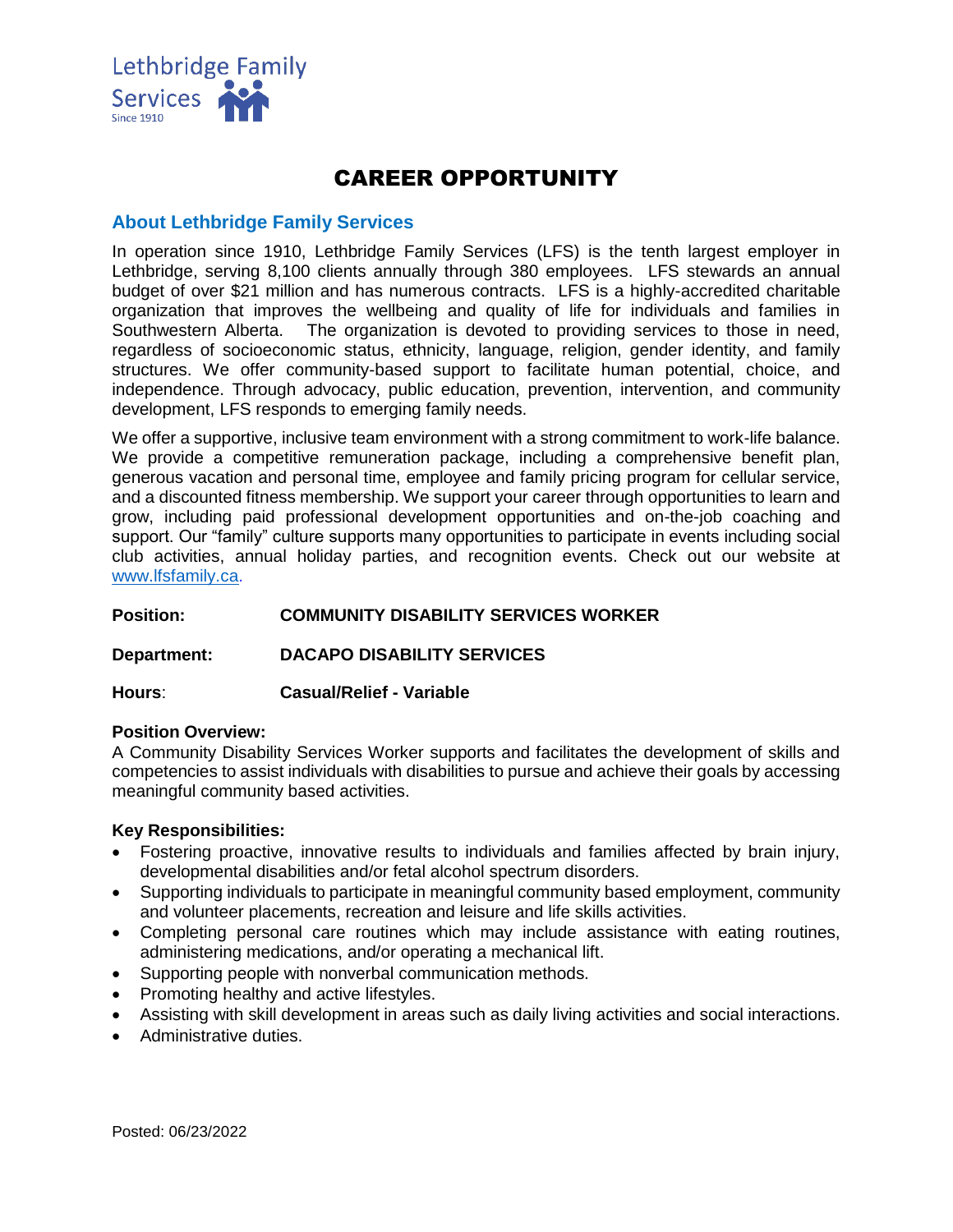

# CAREER OPPORTUNITY

# **About Lethbridge Family Services**

In operation since 1910, Lethbridge Family Services (LFS) is the tenth largest employer in Lethbridge, serving 8,100 clients annually through 380 employees. LFS stewards an annual budget of over \$21 million and has numerous contracts. LFS is a highly-accredited charitable organization that improves the wellbeing and quality of life for individuals and families in Southwestern Alberta. The organization is devoted to providing services to those in need, regardless of socioeconomic status, ethnicity, language, religion, gender identity, and family structures. We offer community-based support to facilitate human potential, choice, and independence. Through advocacy, public education, prevention, intervention, and community development, LFS responds to emerging family needs.

We offer a supportive, inclusive team environment with a strong commitment to work-life balance. We provide a competitive remuneration package, including a comprehensive benefit plan, generous vacation and personal time, employee and family pricing program for cellular service, and a discounted fitness membership. We support your career through opportunities to learn and grow, including paid professional development opportunities and on-the-job coaching and support. Our "family" culture supports many opportunities to participate in events including social club activities, annual holiday parties, and recognition events. Check out our website at [www.lfsfamily.ca.](http://www.lfsfamily.ca/)

## **Position: COMMUNITY DISABILITY SERVICES WORKER**

**Department: DACAPO DISABILITY SERVICES**

**Hours**: **Casual/Relief - Variable**

#### **Position Overview:**

A Community Disability Services Worker supports and facilitates the development of skills and competencies to assist individuals with disabilities to pursue and achieve their goals by accessing meaningful community based activities.

#### **Key Responsibilities:**

- Fostering proactive, innovative results to individuals and families affected by brain injury, developmental disabilities and/or fetal alcohol spectrum disorders.
- Supporting individuals to participate in meaningful community based employment, community and volunteer placements, recreation and leisure and life skills activities.
- Completing personal care routines which may include assistance with eating routines, administering medications, and/or operating a mechanical lift.
- Supporting people with nonverbal communication methods.
- Promoting healthy and active lifestyles.
- Assisting with skill development in areas such as daily living activities and social interactions.
- Administrative duties.